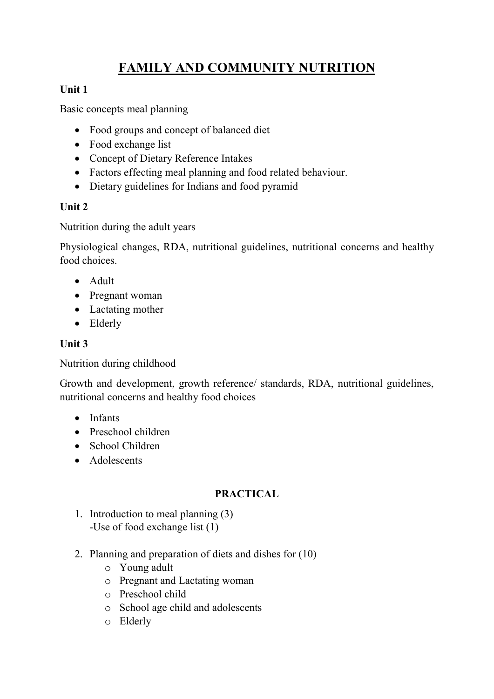# **FAMILY AND COMMUNITY NUTRITION**

# **Unit 1**

Basic concepts meal planning

- Food groups and concept of balanced diet
- Food exchange list
- Concept of Dietary Reference Intakes
- Factors effecting meal planning and food related behaviour.
- Dietary guidelines for Indians and food pyramid

### **Unit 2**

Nutrition during the adult years

Physiological changes, RDA, nutritional guidelines, nutritional concerns and healthy food choices.

- Adult
- Pregnant woman
- Lactating mother
- Elderly

# **Unit 3**

Nutrition during childhood

Growth and development, growth reference/ standards, RDA, nutritional guidelines, nutritional concerns and healthy food choices

- Infants
- Preschool children
- School Children
- Adolescents

### **PRACTICAL**

- 1. Introduction to meal planning (3) -Use of food exchange list (1)
- 2. Planning and preparation of diets and dishes for (10)
	- o Young adult
	- o Pregnant and Lactating woman
	- o Preschool child
	- o School age child and adolescents
	- o Elderly